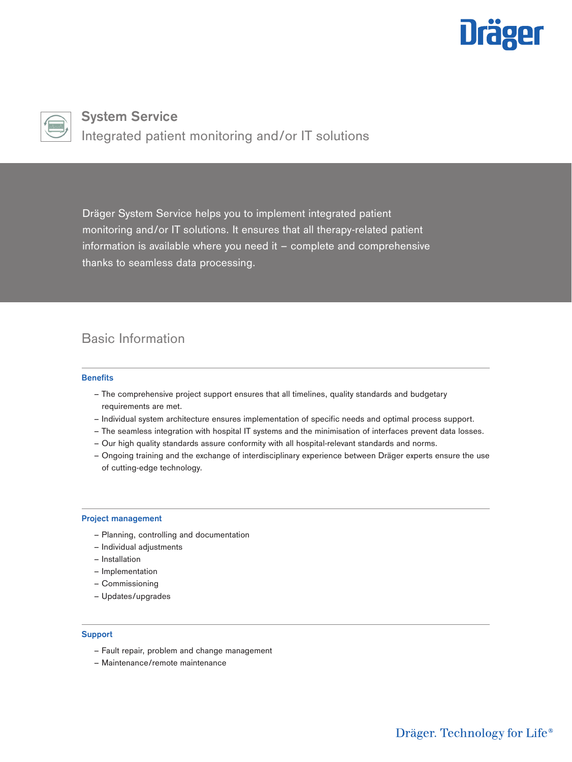



**System Service** Integrated patient monitoring and/or IT solutions

Dräger System Service helps you to implement integrated patient monitoring and/or IT solutions. It ensures that all therapy-related patient information is available where you need it – complete and comprehensive thanks to seamless data processing.

# Basic Information

### **Benefits**

- The comprehensive project support ensures that all timelines, quality standards and budgetary requirements are met.
- Individual system architecture ensures implementation of specific needs and optimal process support.
- The seamless integration with hospital IT systems and the minimisation of interfaces prevent data losses.
- Our high quality standards assure conformity with all hospital-relevant standards and norms.
- Ongoing training and the exchange of interdisciplinary experience between Dräger experts ensure the use of cutting-edge technology.

# **Project management**

- Planning, controlling and documentation
- Individual adjustments
- Installation
- Implementation
- Commissioning
- Updates/upgrades

### **Support**

- Fault repair, problem and change management
- Maintenance/remote maintenance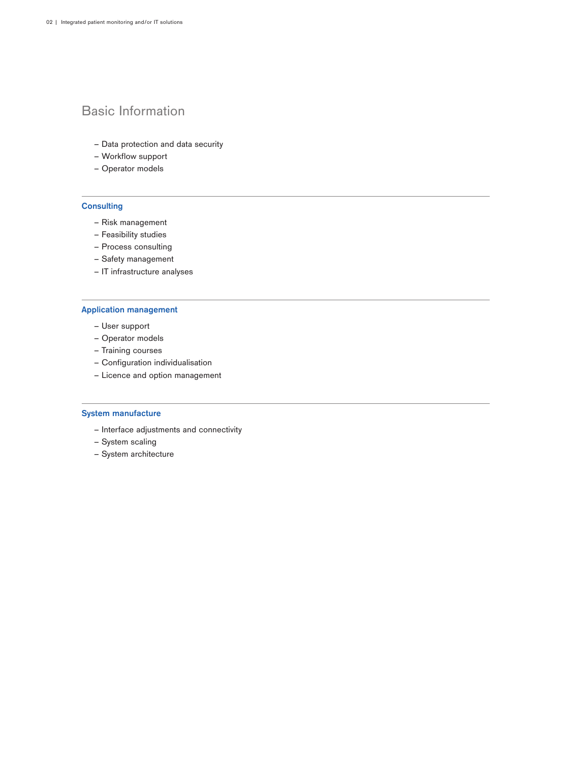# Basic Information

- Data protection and data security
- Workflow support
- Operator models

# **Consulting**

- Risk management
- Feasibility studies
- Process consulting
- Safety management
- IT infrastructure analyses

## **Application management**

- User support
- Operator models
- Training courses
- Configuration individualisation
- Licence and option management

# **System manufacture**

- Interface adjustments and connectivity
- System scaling
- System architecture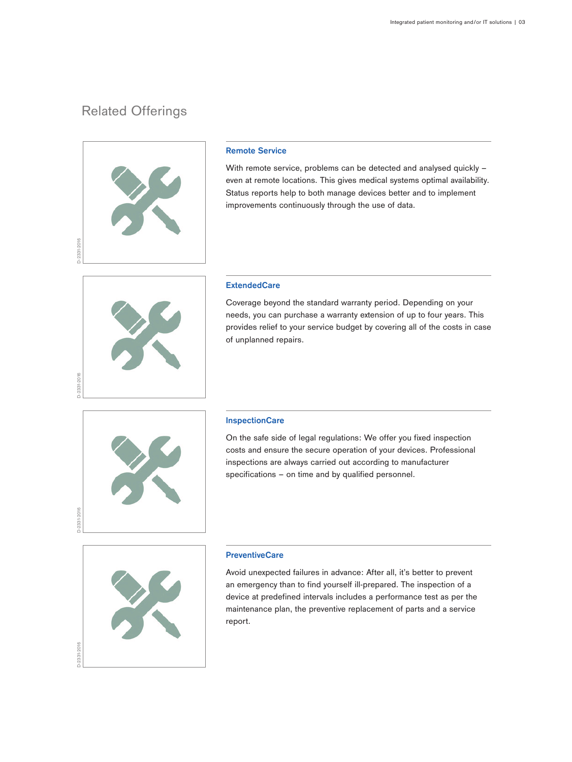# Related Offerings



# **Remote Service**

With remote service, problems can be detected and analysed quickly even at remote locations. This gives medical systems optimal availability. Status reports help to both manage devices better and to implement improvements continuously through the use of data.



### **ExtendedCare**

Coverage beyond the standard warranty period. Depending on your needs, you can purchase a warranty extension of up to four years. This provides relief to your service budget by covering all of the costs in case of unplanned repairs.



#### **InspectionCare**

On the safe side of legal regulations: We offer you fixed inspection costs and ensure the secure operation of your devices. Professional inspections are always carried out according to manufacturer specifications – on time and by qualified personnel.



#### **PreventiveCare**

Avoid unexpected failures in advance: After all, it's better to prevent an emergency than to find yourself ill-prepared. The inspection of a device at predefined intervals includes a performance test as per the maintenance plan, the preventive replacement of parts and a service report.